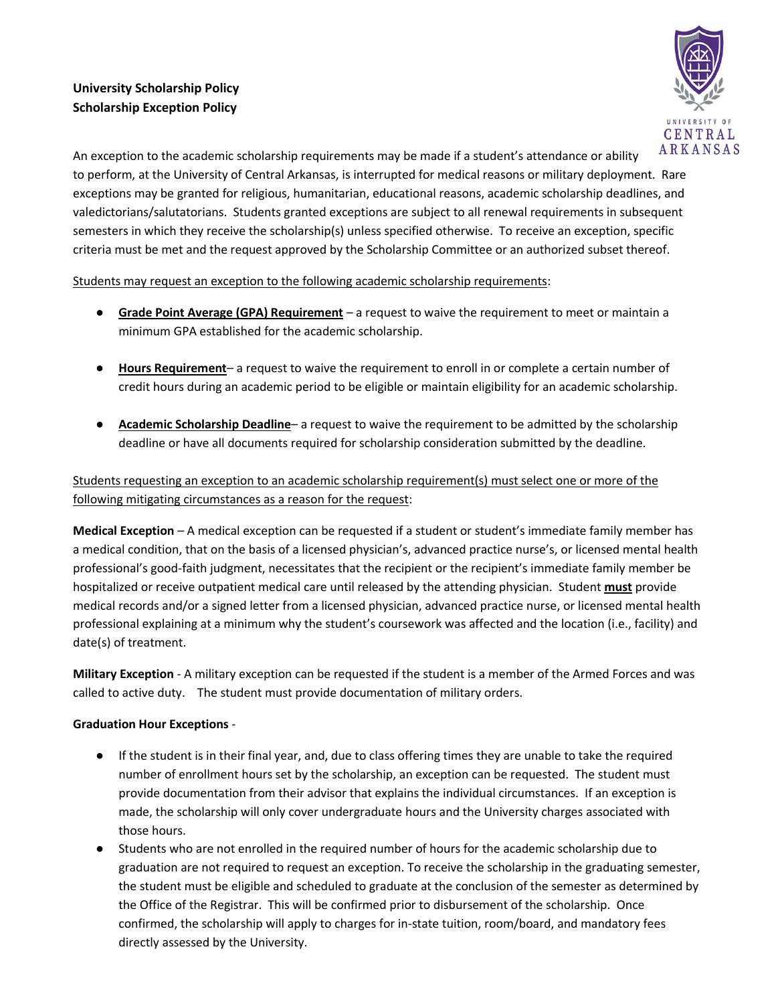## **University Scholarship Policy Scholarship Exception Policy**



An exception to the academic scholarship requirements may be made if a student's attendance or ability to perform, at the University of Central Arkansas, is interrupted for medical reasons or military deployment. Rare exceptions may be granted for religious, humanitarian, educational reasons, academic scholarship deadlines, and valedictorians/salutatorians. Students granted exceptions are subject to all renewal requirements in subsequent semesters in which they receive the scholarship(s) unless specified otherwise. To receive an exception, specific criteria must be met and the request approved by the Scholarship Committee or an authorized subset thereof.

Students may request an exception to the following academic scholarship requirements:

- **Grade Point Average (GPA) Requirement** a request to waive the requirement to meet or maintain a minimum GPA established for the academic scholarship.
- **Hours Requirement** a request to waive the requirement to enroll in or complete a certain number of credit hours during an academic period to be eligible or maintain eligibility for an academic scholarship.
- **Academic Scholarship Deadline** a request to waive the requirement to be admitted by the scholarship deadline or have all documents required for scholarship consideration submitted by the deadline.

## Students requesting an exception to an academic scholarship requirement(s) must select one or more of the following mitigating circumstances as a reason for the request:

**Medical Exception** – A medical exception can be requested if a student or student's immediate family member has a medical condition, that on the basis of a licensed physician's, advanced practice nurse's, or licensed mental health professional's good-faith judgment, necessitates that the recipient or the recipient's immediate family member be hospitalized or receive outpatient medical care until released by the attending physician. Student **must** provide medical records and/or a signed letter from a licensed physician, advanced practice nurse, or licensed mental health professional explaining at a minimum why the student's coursework was affected and the location (i.e., facility) and date(s) of treatment.

**Military Exception** - A military exception can be requested if the student is a member of the Armed Forces and was called to active duty. The student must provide documentation of military orders.

## **Graduation Hour Exceptions** -

- If the student is in their final year, and, due to class offering times they are unable to take the required number of enrollment hours set by the scholarship, an exception can be requested. The student must provide documentation from their advisor that explains the individual circumstances. If an exception is made, the scholarship will only cover undergraduate hours and the University charges associated with those hours.
- Students who are not enrolled in the required number of hours for the academic scholarship due to graduation are not required to request an exception. To receive the scholarship in the graduating semester, the student must be eligible and scheduled to graduate at the conclusion of the semester as determined by the Office of the Registrar. This will be confirmed prior to disbursement of the scholarship. Once confirmed, the scholarship will apply to charges for in-state tuition, room/board, and mandatory fees directly assessed by the University.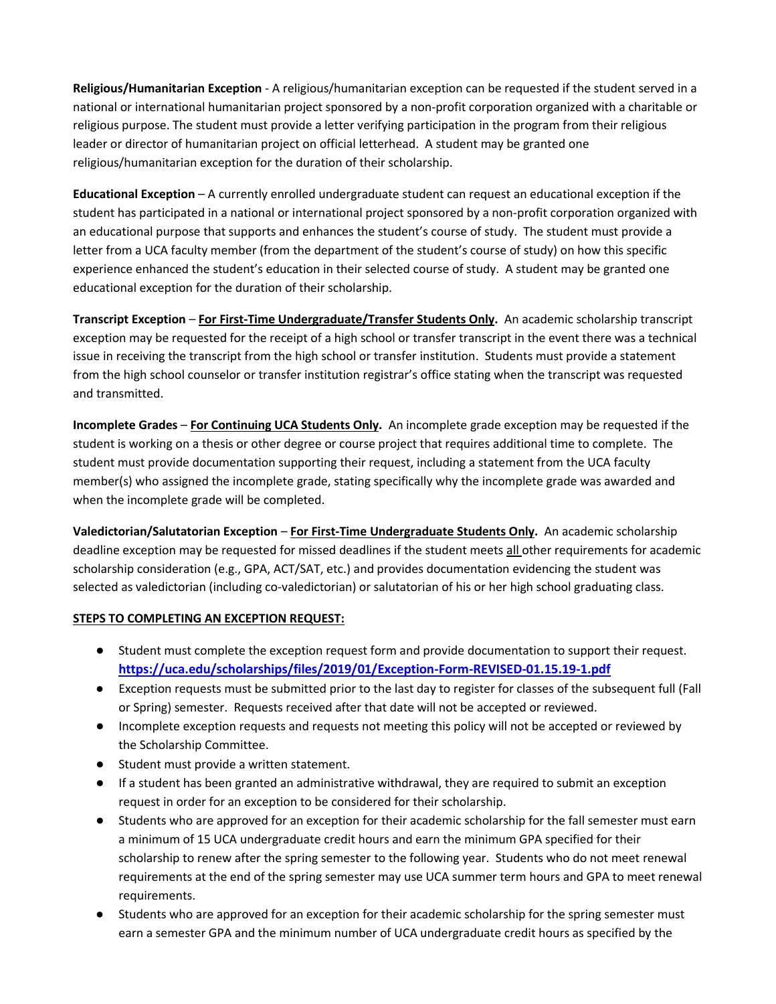**Religious/Humanitarian Exception** - A religious/humanitarian exception can be requested if the student served in a national or international humanitarian project sponsored by a non-profit corporation organized with a charitable or religious purpose. The student must provide a letter verifying participation in the program from their religious leader or director of humanitarian project on official letterhead. A student may be granted one religious/humanitarian exception for the duration of their scholarship.

**Educational Exception** – A currently enrolled undergraduate student can request an educational exception if the student has participated in a national or international project sponsored by a non-profit corporation organized with an educational purpose that supports and enhances the student's course of study. The student must provide a letter from a UCA faculty member (from the department of the student's course of study) on how this specific experience enhanced the student's education in their selected course of study. A student may be granted one educational exception for the duration of their scholarship.

**Transcript Exception** – **For First-Time Undergraduate/Transfer Students Only.** An academic scholarship transcript exception may be requested for the receipt of a high school or transfer transcript in the event there was a technical issue in receiving the transcript from the high school or transfer institution. Students must provide a statement from the high school counselor or transfer institution registrar's office stating when the transcript was requested and transmitted.

**Incomplete Grades** – **For Continuing UCA Students Only.** An incomplete grade exception may be requested if the student is working on a thesis or other degree or course project that requires additional time to complete. The student must provide documentation supporting their request, including a statement from the UCA faculty member(s) who assigned the incomplete grade, stating specifically why the incomplete grade was awarded and when the incomplete grade will be completed.

**Valedictorian/Salutatorian Exception** – **For First-Time Undergraduate Students Only.** An academic scholarship deadline exception may be requested for missed deadlines if the student meets all other requirements for academic scholarship consideration (e.g., GPA, ACT/SAT, etc.) and provides documentation evidencing the student was selected as valedictorian (including co-valedictorian) or salutatorian of his or her high school graduating class.

## **STEPS TO COMPLETING AN EXCEPTION REQUEST:**

- Student must complete the exception request form and provide documentation to support their request. **<https://uca.edu/scholarships/files/2019/01/Exception-Form-REVISED-01.15.19-1.pdf>**
- Exception requests must be submitted prior to the last day to register for classes of the subsequent full (Fall or Spring) semester. Requests received after that date will not be accepted or reviewed.
- Incomplete exception requests and requests not meeting this policy will not be accepted or reviewed by the Scholarship Committee.
- Student must provide a written statement.
- If a student has been granted an administrative withdrawal, they are required to submit an exception request in order for an exception to be considered for their scholarship.
- Students who are approved for an exception for their academic scholarship for the fall semester must earn a minimum of 15 UCA undergraduate credit hours and earn the minimum GPA specified for their scholarship to renew after the spring semester to the following year. Students who do not meet renewal requirements at the end of the spring semester may use UCA summer term hours and GPA to meet renewal requirements.
- Students who are approved for an exception for their academic scholarship for the spring semester must earn a semester GPA and the minimum number of UCA undergraduate credit hours as specified by the